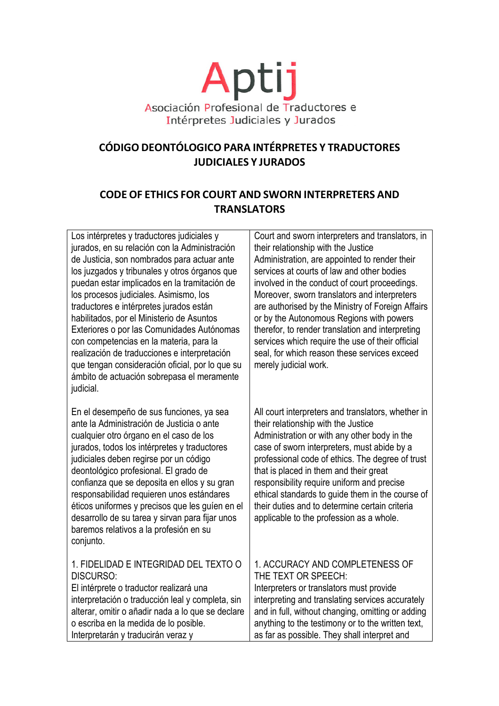

# CÓDIGO DEONTÓLOGICO PARA INTÉRPRETES Y TRADUCTORES **JUDICIALES Y JURADOS**

## **CODE OF ETHICS FOR COURT AND SWORN INTERPRETERS AND TRANSLATORS**

| Los intérpretes y traductores judiciales y<br>jurados, en su relación con la Administración<br>de Justicia, son nombrados para actuar ante<br>los juzgados y tribunales y otros órganos que<br>puedan estar implicados en la tramitación de<br>los procesos judiciales. Asimismo, los<br>traductores e intérpretes jurados están<br>habilitados, por el Ministerio de Asuntos<br>Exteriores o por las Comunidades Autónomas<br>con competencias en la materia, para la<br>realización de traducciones e interpretación<br>que tengan consideración oficial, por lo que su<br>ámbito de actuación sobrepasa el meramente<br>judicial. | Court and sworn interpreters and translators, in<br>their relationship with the Justice<br>Administration, are appointed to render their<br>services at courts of law and other bodies<br>involved in the conduct of court proceedings.<br>Moreover, sworn translators and interpreters<br>are authorised by the Ministry of Foreign Affairs<br>or by the Autonomous Regions with powers<br>therefor, to render translation and interpreting<br>services which require the use of their official<br>seal, for which reason these services exceed<br>merely judicial work. |
|--------------------------------------------------------------------------------------------------------------------------------------------------------------------------------------------------------------------------------------------------------------------------------------------------------------------------------------------------------------------------------------------------------------------------------------------------------------------------------------------------------------------------------------------------------------------------------------------------------------------------------------|---------------------------------------------------------------------------------------------------------------------------------------------------------------------------------------------------------------------------------------------------------------------------------------------------------------------------------------------------------------------------------------------------------------------------------------------------------------------------------------------------------------------------------------------------------------------------|
| En el desempeño de sus funciones, ya sea<br>ante la Administración de Justicia o ante<br>cualquier otro órgano en el caso de los<br>jurados, todos los intérpretes y traductores<br>judiciales deben regirse por un código<br>deontológico profesional. El grado de<br>confianza que se deposita en ellos y su gran<br>responsabilidad requieren unos estándares<br>éticos uniformes y precisos que les guíen en el<br>desarrollo de su tarea y sirvan para fijar unos<br>baremos relativos a la profesión en su<br>conjunto.                                                                                                        | All court interpreters and translators, whether in<br>their relationship with the Justice<br>Administration or with any other body in the<br>case of sworn interpreters, must abide by a<br>professional code of ethics. The degree of trust<br>that is placed in them and their great<br>responsibility require uniform and precise<br>ethical standards to guide them in the course of<br>their duties and to determine certain criteria<br>applicable to the profession as a whole.                                                                                    |
| 1. FIDELIDAD E INTEGRIDAD DEL TEXTO O<br><b>DISCURSO:</b><br>El intérprete o traductor realizará una<br>interpretación o traducción leal y completa, sin<br>alterar, omitir o añadir nada a lo que se declare<br>o escriba en la medida de lo posible.<br>Interpretarán y traducirán veraz y                                                                                                                                                                                                                                                                                                                                         | 1. ACCURACY AND COMPLETENESS OF<br>THE TEXT OR SPEECH:<br>Interpreters or translators must provide<br>interpreting and translating services accurately<br>and in full, without changing, omitting or adding<br>anything to the testimony or to the written text,<br>as far as possible. They shall interpret and                                                                                                                                                                                                                                                          |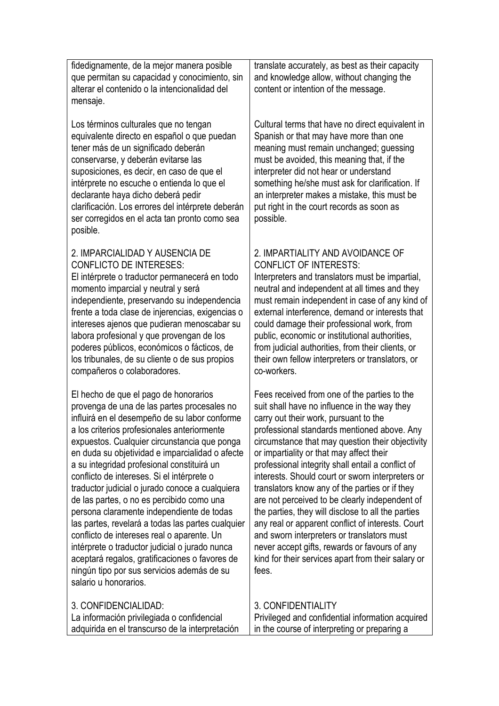fidedignamente, de la mejor manera posible que permitan su capacidad y conocimiento, sin alterar el contenido o la intencionalidad del mensaje.

Los términos culturales que no tengan equivalente directo en español o que puedan tener más de un significado deberán conservarse, y deberán evitarse las suposiciones, es decir, en caso de que el intérprete no escuche o entienda lo que el declarante haya dicho deberá pedir clarificación. Los errores del intérprete deberán ser corregidos en el acta tan pronto como sea posible.

#### 2. IMPARCIALIDAD Y AUSENCIA DE CONFLICTO DE INTERESES:

El intérprete o traductor permanecerá en todo momento imparcial y neutral y será independiente, preservando su independencia frente a toda clase de injerencias, exigencias o intereses ajenos que pudieran menoscabar su labora profesional y que provengan de los poderes públicos, económicos o fácticos, de los tribunales, de su cliente o de sus propios compañeros o colaboradores.

El hecho de que el pago de honorarios provenga de una de las partes procesales no influirá en el desempeño de su labor conforme a los criterios profesionales anteriormente expuestos. Cualquier circunstancia que ponga en duda su objetividad e imparcialidad o afecte a su integridad profesional constituirá un conflicto de intereses. Si el intérprete o traductor judicial o jurado conoce a cualquiera de las partes, o no es percibido como una persona claramente independiente de todas las partes, revelará a todas las partes cualquier conflicto de intereses real o aparente. Un intérprete o traductor judicial o jurado nunca aceptará regalos, gratificaciones o favores de ningún tipo por sus servicios además de su salario u honorarios.

3. CONFIDENCIALIDAD:

translate accurately, as best as their capacity and knowledge allow, without changing the content or intention of the message.

Cultural terms that have no direct equivalent in Spanish or that may have more than one meaning must remain unchanged; guessing must be avoided, this meaning that, if the interpreter did not hear or understand something he/she must ask for clarification. If an interpreter makes a mistake, this must be put right in the court records as soon as possible.

#### 2. IMPARTIALITY AND AVOIDANCE OF CONFLICT OF INTERESTS:

Interpreters and translators must be impartial, neutral and independent at all times and they must remain independent in case of any kind of external interference, demand or interests that could damage their professional work, from public, economic or institutional authorities, from judicial authorities, from their clients, or their own fellow interpreters or translators, or co-workers.

Fees received from one of the parties to the suit shall have no influence in the way they carry out their work, pursuant to the professional standards mentioned above. Any circumstance that may question their objectivity or impartiality or that may affect their professional integrity shall entail a conflict of interests. Should court or sworn interpreters or translators know any of the parties or if they are not perceived to be clearly independent of the parties, they will disclose to all the parties any real or apparent conflict of interests. Court and sworn interpreters or translators must never accept gifts, rewards or favours of any kind for their services apart from their salary or fees.

### 3. CONFIDENTIALITY

La información privilegiada o confidencial adquirida en el transcurso de la interpretación Privileged and confidential information acquired in the course of interpreting or preparing a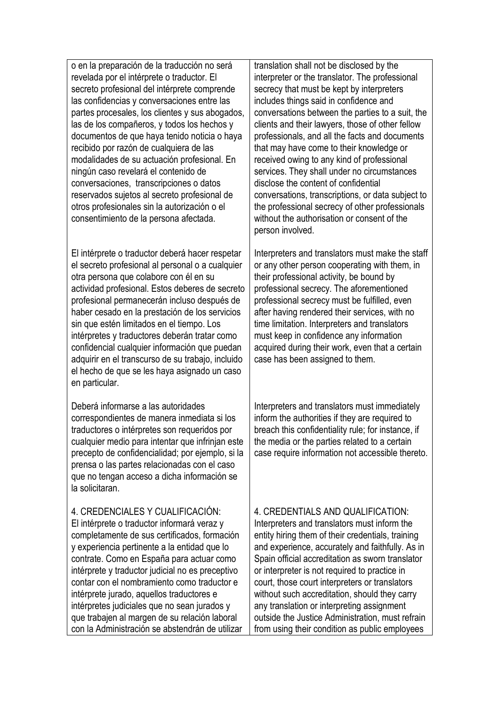o en la preparación de la traducción no será revelada por el intérprete o traductor. El secreto profesional del intérprete comprende las confidencias y conversaciones entre las partes procesales, los clientes y sus abogados, las de los compañeros, y todos los hechos y documentos de que haya tenido noticia o haya recibido por razón de cualquiera de las modalidades de su actuación profesional. En ningún caso revelará el contenido de conversaciones, transcripciones o datos reservados sujetos al secreto profesional de otros profesionales sin la autorización o el consentimiento de la persona afectada.

El intérprete o traductor deberá hacer respetar el secreto profesional al personal o a cualquier otra persona que colabore con él en su actividad profesional. Estos deberes de secreto profesional permanecerán incluso después de haber cesado en la prestación de los servicios sin que estén limitados en el tiempo. Los intérpretes y traductores deberán tratar como confidencial cualquier información que puedan adquirir en el transcurso de su trabajo, incluido el hecho de que se les haya asignado un caso en particular.

Deberá informarse a las autoridades correspondientes de manera inmediata si los traductores o intérpretes son requeridos por cualquier medio para intentar que infrinjan este precepto de confidencialidad; por ejemplo, si la prensa o las partes relacionadas con el caso que no tengan acceso a dicha información se la solicitaran.

4. CREDENCIALES Y CUALIFICACIÓN: El intérprete o traductor informará veraz y completamente de sus certificados, formación y experiencia pertinente a la entidad que lo contrate. Como en España para actuar como intérprete y traductor judicial no es preceptivo contar con el nombramiento como traductor e intérprete jurado, aquellos traductores e intérpretes judiciales que no sean jurados y que trabajen al margen de su relación laboral con la Administración se abstendrán de utilizar translation shall not be disclosed by the interpreter or the translator. The professional secrecy that must be kept by interpreters includes things said in confidence and conversations between the parties to a suit, the clients and their lawyers, those of other fellow professionals, and all the facts and documents that may have come to their knowledge or received owing to any kind of professional services. They shall under no circumstances disclose the content of confidential conversations, transcriptions, or data subject to the professional secrecy of other professionals without the authorisation or consent of the person involved.

Interpreters and translators must make the staff or any other person cooperating with them, in their professional activity, be bound by professional secrecy. The aforementioned professional secrecy must be fulfilled, even after having rendered their services, with no time limitation. Interpreters and translators must keep in confidence any information acquired during their work, even that a certain case has been assigned to them.

Interpreters and translators must immediately inform the authorities if they are required to breach this confidentiality rule; for instance, if the media or the parties related to a certain case require information not accessible thereto.

4. CREDENTIALS AND QUALIFICATION: Interpreters and translators must inform the entity hiring them of their credentials, training and experience, accurately and faithfully. As in Spain official accreditation as sworn translator or interpreter is not required to practice in court, those court interpreters or translators without such accreditation, should they carry any translation or interpreting assignment outside the Justice Administration, must refrain from using their condition as public employees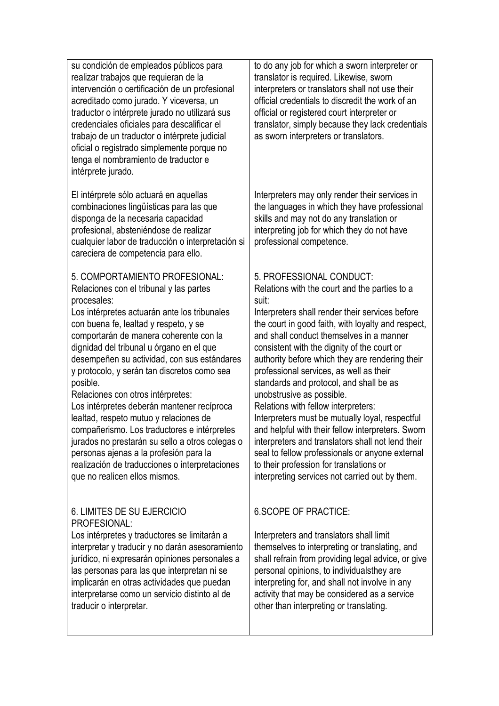su condición de empleados públicos para realizar trabajos que requieran de la intervención o certificación de un profesional acreditado como jurado. Y viceversa, un traductor o intérprete jurado no utilizará sus credenciales oficiales para descalificar el trabajo de un traductor o intérprete judicial oficial o registrado simplemente porque no tenga el nombramiento de traductor e intérprete jurado. El intérprete sólo actuará en aquellas combinaciones lingüísticas para las que disponga de la necesaria capacidad profesional, absteniéndose de realizar cualquier labor de traducción o interpretación si careciera de competencia para ello. 5. COMPORTAMIENTO PROFESIONAL: Relaciones con el tribunal y las partes procesales: Los intérpretes actuarán ante los tribunales con buena fe, lealtad y respeto, y se comportarán de manera coherente con la dignidad del tribunal u órgano en el que desempeñen su actividad, con sus estándares y protocolo, y serán tan discretos como sea posible. Relaciones con otros intérpretes: Los intérpretes deberán mantener recíproca lealtad, respeto mutuo y relaciones de compañerismo. Los traductores e intérpretes jurados no prestarán su sello a otros colegas o personas ajenas a la profesión para la realización de traducciones o interpretaciones que no realicen ellos mismos. 6. LIMITES DE SU EJERCICIO PROFESIONAL: Los intérpretes y traductores se limitarán a interpretar y traducir y no darán asesoramiento jurídico, ni expresarán opiniones personales a las personas para las que interpretan ni se to do any job for which a sworn interpreter or translator is required. Likewise, sworn interpreters or translators shall not use their official credentials to discredit the work of an official or registered court interpreter or translator, simply because they lack credentials as sworn interpreters or translators. Interpreters may only render their services in the languages in which they have professional skills and may not do any translation or interpreting job for which they do not have professional competence. 5. PROFESSIONAL CONDUCT: Relations with the court and the parties to a suit: Interpreters shall render their services before the court in good faith, with loyalty and respect, and shall conduct themselves in a manner consistent with the dignity of the court or authority before which they are rendering their professional services, as well as their standards and protocol, and shall be as unobstrusive as possible. Relations with fellow interpreters: Interpreters must be mutually loyal, respectful and helpful with their fellow interpreters. Sworn interpreters and translators shall not lend their seal to fellow professionals or anyone external to their profession for translations or interpreting services not carried out by them. 6.SCOPE OF PRACTICE: Interpreters and translators shall limit

implicarán en otras actividades que puedan interpretarse como un servicio distinto al de traducir o interpretar.

themselves to interpreting or translating, and shall refrain from providing legal advice, or give personal opinions, to individualsthey are interpreting for, and shall not involve in any activity that may be considered as a service other than interpreting or translating.